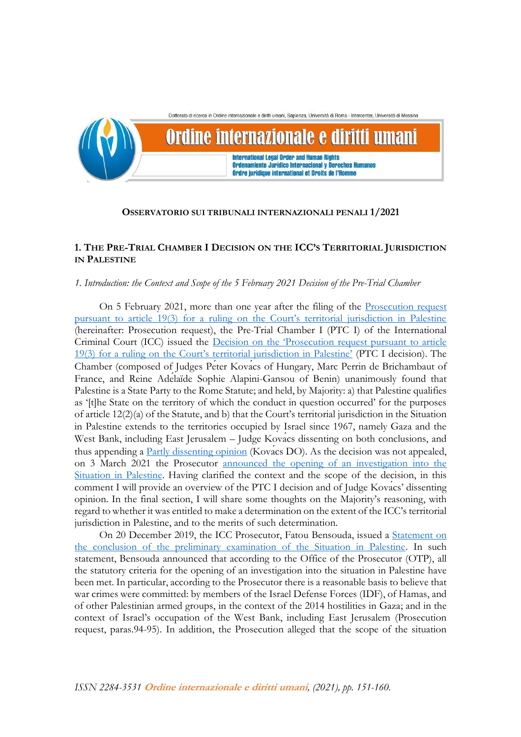Dottorato di ricerca in Ordine internazionale e diritti umani. Sapienza, Università di Roma - Intercenter, Università di Messina Ordine internazionale e diritti umani **International Legal Order and Human Rights Ordenamiento Jurídico Internacional y Derechos Humanos** Ordre juridique international et Droits de l'Homme

# **OSSERVATORIO SUI TRIBUNALI INTERNAZIONALI PENALI 1/2021**

# **1. THE PRE-TRIAL CHAMBER I DECISION ON THE ICC'S TERRITORIAL JURISDICTION IN PALESTINE**

# *1. Introduction: the Context and Scope of the 5 February 2021 Decision of the Pre-Trial Chamber*

On 5 February 2021, more than one year after the filing of the [Prosecution request](https://www.icc-cpi.int/CourtRecords/CR2020_00161.PDF)  [pursuant to article 19\(3\) for a ruling on the Court's territorial jurisdiction in Palestine](https://www.icc-cpi.int/CourtRecords/CR2020_00161.PDF) (hereinafter: Prosecution request), the Pre-Trial Chamber I (PTC I) of the International Criminal Court (ICC) issued the [Decision on the 'Prosecution request pursuant to article](https://www.icc-cpi.int/CourtRecords/CR2021_01165.PDF)  [19\(3\) for a ruling on the Court's territorial jurisdiction in Palestine'](https://www.icc-cpi.int/CourtRecords/CR2021_01165.PDF) (PTC I decision). The Chamber (composed of Judges Péter Kovács of Hungary, Marc Perrin de Brichambaut of France, and Reine Adélaïde Sophie Alapini-Gansou of Benin) unanimously found that Palestine is a State Party to the Rome Statute; and held, by Majority: a) that Palestine qualifies as '[t]he State on the territory of which the conduct in question occurred' for the purposes of article 12(2)(a) of the Statute, and b) that the Court's territorial jurisdiction in the Situation in Palestine extends to the territories occupied by Israel since 1967, namely Gaza and the West Bank, including East Jerusalem – Judge Kovacs dissenting on both conclusions, and thus appending a [Partly dissenting opinion](https://www.icc-cpi.int/RelatedRecords/CR2021_01167.PDF) (Kovacs DO). As the decision was not appealed, on 3 March 2021 the Prosecutor [announced the opening of an investigation into the](https://www.icc-cpi.int/Pages/item.aspx?name=210303-prosecutor-statement-investigation-palestine)  [Situation in Palestine.](https://www.icc-cpi.int/Pages/item.aspx?name=210303-prosecutor-statement-investigation-palestine) Having clarified the context and the scope of the decision, in this comment I will provide an overview of the PTC I decision and of Judge Kovács' dissenting opinion. In the final section, I will share some thoughts on the Majority's reasoning, with regard to whether it was entitled to make a determination on the extent of the ICC's territorial jurisdiction in Palestine, and to the merits of such determination.

On 20 December 2019, the ICC Prosecutor, Fatou Bensouda, issued a [Statement on](https://www.icc-cpi.int/Pages/item.aspx?name=20191220-otp-statement-palestine)  [the conclusion of the preliminary examination of the Situation in Palestine.](https://www.icc-cpi.int/Pages/item.aspx?name=20191220-otp-statement-palestine) In such statement, Bensouda announced that according to the Office of the Prosecutor (OTP), all the statutory criteria for the opening of an investigation into the situation in Palestine have been met. In particular, according to the Prosecutor there is a reasonable basis to believe that war crimes were committed: by members of the Israel Defense Forces (IDF), of Hamas, and of other Palestinian armed groups, in the context of the 2014 hostilities in Gaza; and in the context of Israel's occupation of the West Bank, including East Jerusalem (Prosecution request, paras.94-95). In addition, the Prosecution alleged that the scope of the situation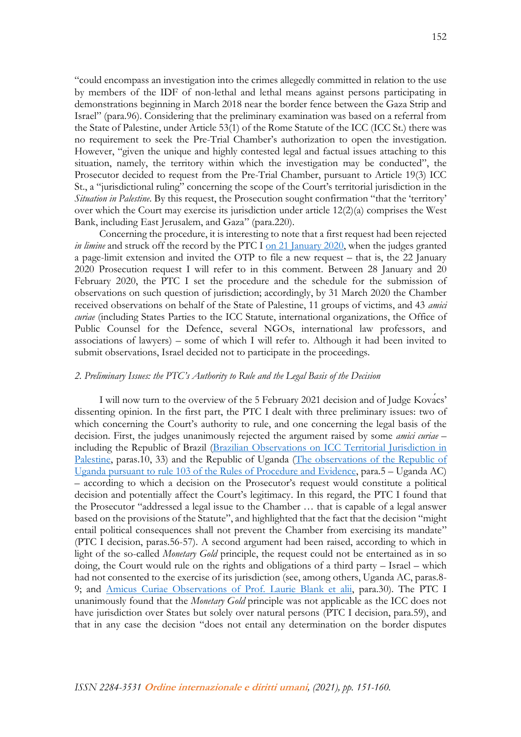"could encompass an investigation into the crimes allegedly committed in relation to the use by members of the IDF of non-lethal and lethal means against persons participating in demonstrations beginning in March 2018 near the border fence between the Gaza Strip and Israel" (para.96). Considering that the preliminary examination was based on a referral from the State of Palestine, under Article 53(1) of the Rome Statute of the ICC (ICC St.) there was no requirement to seek the Pre-Trial Chamber's authorization to open the investigation. However, "given the unique and highly contested legal and factual issues attaching to this situation, namely, the territory within which the investigation may be conducted", the Prosecutor decided to request from the Pre-Trial Chamber, pursuant to Article 19(3) ICC St., a "jurisdictional ruling" concerning the scope of the Court's territorial jurisdiction in the *Situation in Palestine*. By this request, the Prosecution sought confirmation "that the 'territory' over which the Court may exercise its jurisdiction under article  $12(2)(a)$  comprises the West Bank, including East Jerusalem, and Gaza" (para.220).

Concerning the procedure, it is interesting to note that a first request had been rejected *in limine* and struck off the record by the PTC I [on 21 January 2020,](https://www.legal-tools.org/doc/ljt6oy/pdf/) when the judges granted a page-limit extension and invited the OTP to file a new request – that is, the 22 January 2020 Prosecution request I will refer to in this comment. Between 28 January and 20 February 2020, the PTC I set the procedure and the schedule for the submission of observations on such question of jurisdiction; accordingly, by 31 March 2020 the Chamber received observations on behalf of the State of Palestine, 11 groups of victims, and 43 *amici curiae* (including States Parties to the ICC Statute, international organizations, the Office of Public Counsel for the Defence, several NGOs, international law professors, and associations of lawyers) – some of which I will refer to. Although it had been invited to submit observations, Israel decided not to participate in the proceedings.

#### *2. Preliminary Issues: the PTC's Authority to Rule and the Legal Basis of the Decision*

I will now turn to the overview of the 5 February 2021 decision and of Judge Kovács' dissenting opinion. In the first part, the PTC I dealt with three preliminary issues: two of which concerning the Court's authority to rule, and one concerning the legal basis of the decision. First, the judges unanimously rejected the argument raised by some *amici curiae* – including the Republic of Brazil (Brazilian Observations [on ICC Territorial Jurisdiction in](https://www.legal-tools.org/doc/u96u9u/pdf/)  [Palestine,](https://www.legal-tools.org/doc/u96u9u/pdf/) paras.10, 33) and the Republic of Uganda (The observations [of the Republic of](https://www.legal-tools.org/doc/rvaogc/pdf/)  Uganda pursuant to rule [103 of the Rules of Procedure and Evidence,](https://www.legal-tools.org/doc/rvaogc/pdf/) para.5 – Uganda AC) – according to which a decision on the Prosecutor's request would constitute a political decision and potentially affect the Court's legitimacy. In this regard, the PTC I found that the Prosecutor "addressed a legal issue to the Chamber … that is capable of a legal answer based on the provisions of the Statute", and highlighted that the fact that the decision "might entail political consequences shall not prevent the Chamber from exercising its mandate" (PTC I decision, paras.56-57). A second argument had been raised, according to which in light of the so-called *Monetary Gold* principle, the request could not be entertained as in so doing, the Court would rule on the rights and obligations of a third party – Israel – which had not consented to the exercise of its jurisdiction (see, among others, Uganda AC, paras.8- 9; and [Amicus Curiae Observations of Prof.](https://www.legal-tools.org/doc/10u07w/pdf/) Laurie Blank et alii, para.30). The PTC I unanimously found that the *Monetary Gold* principle was not applicable as the ICC does not have jurisdiction over States but solely over natural persons (PTC I decision, para.59), and that in any case the decision "does not entail any determination on the border disputes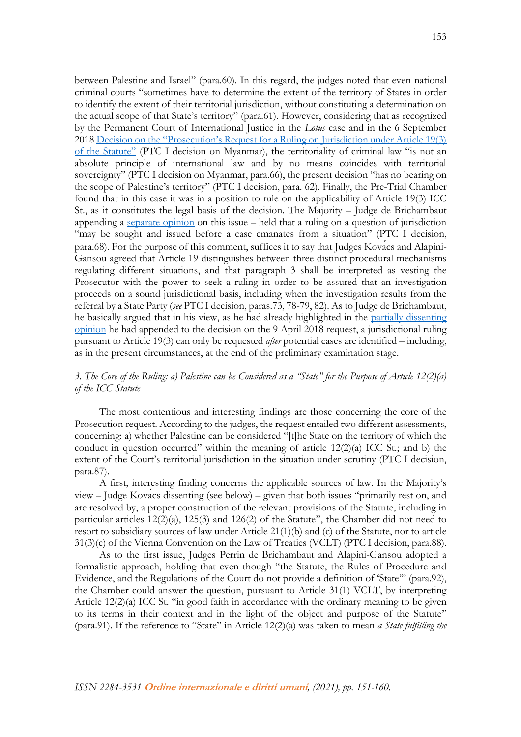between Palestine and Israel" (para.60). In this regard, the judges noted that even national criminal courts "sometimes have to determine the extent of the territory of States in order to identify the extent of their territorial jurisdiction, without constituting a determination on the actual scope of that State's territory" (para.61). However, considering that as recognized by the Permanent Court of International Justice in the *Lotus* case and in the 6 September 2018 [Decision on the "Prosecution's Request for a Ruling on Jurisdiction under Article 19\(3\)](https://www.icc-cpi.int/CourtRecords/CR2018_04203.PDF)  [of the Statute"](https://www.icc-cpi.int/CourtRecords/CR2018_04203.PDF) (PTC I decision on Myanmar), the territoriality of criminal law "is not an absolute principle of international law and by no means coincides with territorial sovereignty" (PTC I decision on Myanmar, para.66), the present decision "has no bearing on the scope of Palestine's territory" (PTC I decision, para. 62). Finally, the Pre-Trial Chamber found that in this case it was in a position to rule on the applicability of Article 19(3) ICC St., as it constitutes the legal basis of the decision. The Majority – Judge de Brichambaut appending a [separate opinion](https://www.icc-cpi.int/RelatedRecords/CR2021_01166.PDF) on this issue – held that a ruling on a question of jurisdiction "may be sought and issued before a case emanates from a situation" (PTC I decision, para.68). For the purpose of this comment, suffices it to say that Judges Kovács and Alapini-Gansou agreed that Article 19 distinguishes between three distinct procedural mechanisms regulating different situations, and that paragraph 3 shall be interpreted as vesting the Prosecutor with the power to seek a ruling in order to be assured that an investigation proceeds on a sound jurisdictional basis, including when the investigation results from the referral by a State Party (*see* PTC I decision, paras.73, 78-79, 82). As to Judge de Brichambaut, he basically argued that in his view, as he had already highlighted in the [partially dissenting](https://www.legal-tools.org/doc/2fc26e/pdf/)  [opinion](https://www.legal-tools.org/doc/2fc26e/pdf/) he had appended to the decision on the 9 April 2018 request, a jurisdictional ruling pursuant to Article 19(3) can only be requested *after* potential cases are identified – including, as in the present circumstances, at the end of the preliminary examination stage.

# *3. The Core of the Ruling: a) Palestine can be Considered as a "State" for the Purpose of Article 12(2)(a) of the ICC Statute*

The most contentious and interesting findings are those concerning the core of the Prosecution request. According to the judges, the request entailed two different assessments, concerning: a) whether Palestine can be considered "[t]he State on the territory of which the conduct in question occurred" within the meaning of article  $12(2)(a)$  ICC St.; and b) the extent of the Court's territorial jurisdiction in the situation under scrutiny (PTC I decision, para.87).

A first, interesting finding concerns the applicable sources of law. In the Majority's view – Judge Kovács dissenting (see below) – given that both issues "primarily rest on, and are resolved by, a proper construction of the relevant provisions of the Statute, including in particular articles 12(2)(a), 125(3) and 126(2) of the Statute", the Chamber did not need to resort to subsidiary sources of law under Article 21(1)(b) and (c) of the Statute, nor to article 31(3)(c) of the Vienna Convention on the Law of Treaties (VCLT) (PTC I decision, para.88).

As to the first issue, Judges Perrin de Brichambaut and Alapini-Gansou adopted a formalistic approach, holding that even though "the Statute, the Rules of Procedure and Evidence, and the Regulations of the Court do not provide a definition of 'State'" (para.92), the Chamber could answer the question, pursuant to Article 31(1) VCLT, by interpreting Article 12(2)(a) ICC St. "in good faith in accordance with the ordinary meaning to be given to its terms in their context and in the light of the object and purpose of the Statute" (para.91). If the reference to "State" in Article 12(2)(a) was taken to mean *a State fulfilling the*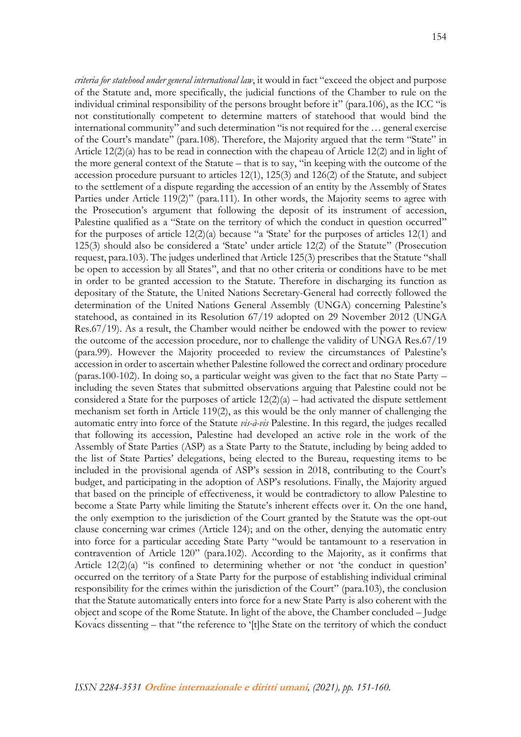*criteria for statehood under general international law*, it would in fact "exceed the object and purpose of the Statute and, more specifically, the judicial functions of the Chamber to rule on the individual criminal responsibility of the persons brought before it" (para.106), as the ICC "is not constitutionally competent to determine matters of statehood that would bind the international community" and such determination "is not required for the … general exercise of the Court's mandate" (para.108). Therefore, the Majority argued that the term "State" in Article 12(2)(a) has to be read in connection with the chapeau of Article 12(2) and in light of the more general context of the Statute – that is to say, "in keeping with the outcome of the accession procedure pursuant to articles 12(1), 125(3) and 126(2) of the Statute, and subject to the settlement of a dispute regarding the accession of an entity by the Assembly of States Parties under Article 119(2)" (para.111). In other words, the Majority seems to agree with the Prosecution's argument that following the deposit of its instrument of accession, Palestine qualified as a "State on the territory of which the conduct in question occurred" for the purposes of article 12(2)(a) because "a 'State' for the purposes of articles 12(1) and 125(3) should also be considered a 'State' under article 12(2) of the Statute" (Prosecution request, para.103). The judges underlined that Article 125(3) prescribes that the Statute "shall be open to accession by all States", and that no other criteria or conditions have to be met in order to be granted accession to the Statute. Therefore in discharging its function as depositary of the Statute, the United Nations Secretary-General had correctly followed the determination of the United Nations General Assembly (UNGA) concerning Palestine's statehood, as contained in its Resolution 67/19 adopted on 29 November 2012 (UNGA Res.67/19). As a result, the Chamber would neither be endowed with the power to review the outcome of the accession procedure, nor to challenge the validity of UNGA Res.67/19 (para.99). However the Majority proceeded to review the circumstances of Palestine's accession in order to ascertain whether Palestine followed the correct and ordinary procedure (paras.100-102). In doing so, a particular weight was given to the fact that no State Party – including the seven States that submitted observations arguing that Palestine could not be considered a State for the purposes of article  $12(2)(a)$  – had activated the dispute settlement mechanism set forth in Article 119(2), as this would be the only manner of challenging the automatic entry into force of the Statute *vis-à-vis* Palestine. In this regard, the judges recalled that following its accession, Palestine had developed an active role in the work of the Assembly of State Parties (ASP) as a State Party to the Statute, including by being added to the list of State Parties' delegations, being elected to the Bureau, requesting items to be included in the provisional agenda of ASP's session in 2018, contributing to the Court's budget, and participating in the adoption of ASP's resolutions. Finally, the Majority argued that based on the principle of effectiveness, it would be contradictory to allow Palestine to become a State Party while limiting the Statute's inherent effects over it. On the one hand, the only exemption to the jurisdiction of the Court granted by the Statute was the opt-out clause concerning war crimes (Article 124); and on the other, denying the automatic entry into force for a particular acceding State Party "would be tantamount to a reservation in contravention of Article 120" (para.102). According to the Majority, as it confirms that Article 12(2)(a) "is confined to determining whether or not 'the conduct in question' occurred on the territory of a State Party for the purpose of establishing individual criminal responsibility for the crimes within the jurisdiction of the Court" (para.103), the conclusion that the Statute automatically enters into force for a new State Party is also coherent with the object and scope of the Rome Statute. In light of the above, the Chamber concluded – Judge Kovacs dissenting – that "the reference to '[t]he State on the territory of which the conduct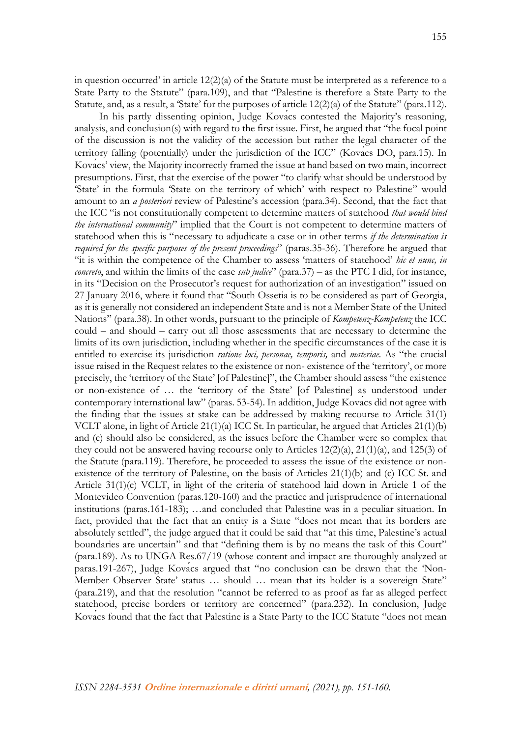in question occurred' in article  $12(2)(a)$  of the Statute must be interpreted as a reference to a State Party to the Statute" (para.109), and that "Palestine is therefore a State Party to the Statute, and, as a result, a 'State' for the purposes of article 12(2)(a) of the Statute" (para.112).

In his partly dissenting opinion, Judge Kovács contested the Majority's reasoning, analysis, and conclusion(s) with regard to the first issue. First, he argued that "the focal point of the discussion is not the validity of the accession but rather the legal character of the territory falling (potentially) under the jurisdiction of the ICC" (Kovács DO, para.15). In Kovacs' view, the Majority incorrectly framed the issue at hand based on two main, incorrect presumptions. First, that the exercise of the power "to clarify what should be understood by 'State' in the formula 'State on the territory of which' with respect to Palestine" would amount to an *a posteriori* review of Palestine's accession (para.34). Second, that the fact that the ICC "is not constitutionally competent to determine matters of statehood *that would bind the international community*" implied that the Court is not competent to determine matters of statehood when this is "necessary to adjudicate a case or in other terms *if the determination is required for the specific purposes of the present proceedings*" (paras.35-36). Therefore he argued that "it is within the competence of the Chamber to assess 'matters of statehood' *hic et nunc, in concreto*, and within the limits of the case *sub judice*" (para.37) – as the PTC I did, for instance, in its "Decision on the Prosecutor's request for authorization of an investigation" issued on 27 January 2016, where it found that "South Ossetia is to be considered as part of Georgia, as it is generally not considered an independent State and is not a Member State of the United Nations" (para.38). In other words, pursuant to the principle of *Kompetenz-Kompetenz* the ICC could – and should – carry out all those assessments that are necessary to determine the limits of its own jurisdiction, including whether in the specific circumstances of the case it is entitled to exercise its jurisdiction *ratione loci, personae, temporis,* and *materiae.* As "the crucial issue raised in the Request relates to the existence or non- existence of the 'territory', or more precisely, the 'territory of the State' [of Palestine]", the Chamber should assess "the existence or non-existence of … the 'territory of the State' [of Palestine] as understood under contemporary international law" (paras. 53-54). In addition, Judge Kovacs did not agree with the finding that the issues at stake can be addressed by making recourse to Article 31(1) VCLT alone, in light of Article 21(1)(a) ICC St. In particular, he argued that Articles 21(1)(b) and (c) should also be considered, as the issues before the Chamber were so complex that they could not be answered having recourse only to Articles  $12(2)(a)$ ,  $21(1)(a)$ , and  $125(3)$  of the Statute (para.119). Therefore, he proceeded to assess the issue of the existence or nonexistence of the territory of Palestine, on the basis of Articles  $21(1)(b)$  and (c) ICC St. and Article 31(1)(c) VCLT, in light of the criteria of statehood laid down in Article 1 of the Montevideo Convention (paras.120-160) and the practice and jurisprudence of international institutions (paras.161-183); …and concluded that Palestine was in a peculiar situation. In fact, provided that the fact that an entity is a State "does not mean that its borders are absolutely settled", the judge argued that it could be said that "at this time, Palestine's actual boundaries are uncertain" and that "defining them is by no means the task of this Court" (para.189). As to UNGA Res.67/19 (whose content and impact are thoroughly analyzed at paras.191-267), Judge Kovacs argued that "no conclusion can be drawn that the 'Non-Member Observer State' status … should *…* mean that its holder is a sovereign State" (para.219), and that the resolution "cannot be referred to as proof as far as alleged perfect statehood, precise borders or territory are concerned" (para.232). In conclusion, Judge Kovacs found that the fact that Palestine is a State Party to the ICC Statute "does not mean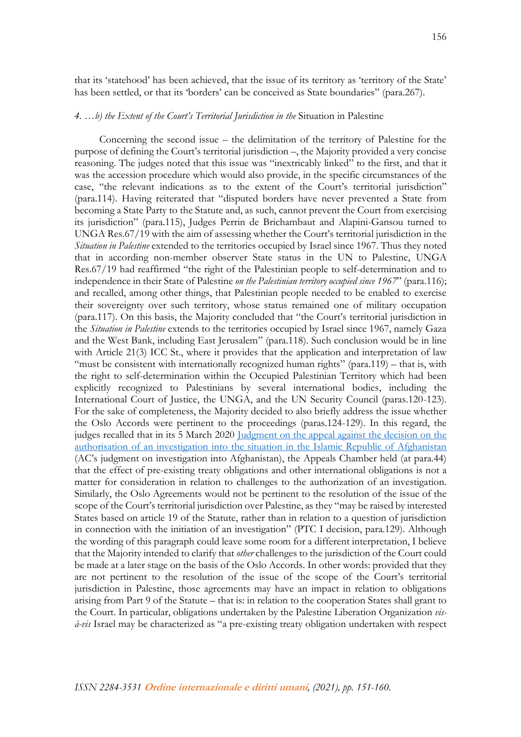#### *4. …b) the Extent of the Court's Territorial Jurisdiction in the* Situation in Palestine

Concerning the second issue – the delimitation of the territory of Palestine for the purpose of defining the Court's territorial jurisdiction –, the Majority provided a very concise reasoning. The judges noted that this issue was "inextricably linked" to the first, and that it was the accession procedure which would also provide, in the specific circumstances of the case, "the relevant indications as to the extent of the Court's territorial jurisdiction" (para.114). Having reiterated that "disputed borders have never prevented a State from becoming a State Party to the Statute and, as such, cannot prevent the Court from exercising its jurisdiction" (para.115), Judges Perrin de Brichambaut and Alapini-Gansou turned to UNGA Res.67/19 with the aim of assessing whether the Court's territorial jurisdiction in the *Situation in Palestine* extended to the territories occupied by Israel since 1967. Thus they noted that in according non-member observer State status in the UN to Palestine, UNGA Res.67/19 had reaffirmed "the right of the Palestinian people to self-determination and to independence in their State of Palestine *on the Palestinian territory occupied since 1967*" (para.116); and recalled, among other things, that Palestinian people needed to be enabled to exercise their sovereignty over such territory, whose status remained one of military occupation (para.117). On this basis, the Majority concluded that "the Court's territorial jurisdiction in the *Situation in Palestine* extends to the territories occupied by Israel since 1967, namely Gaza and the West Bank, including East Jerusalem" (para.118). Such conclusion would be in line with Article 21(3) ICC St., where it provides that the application and interpretation of law "must be consistent with internationally recognized human rights" (para.119) – that is, with the right to self-determination within the Occupied Palestinian Territory which had been explicitly recognized to Palestinians by several international bodies, including the International Court of Justice, the UNGA, and the UN Security Council (paras.120-123). For the sake of completeness, the Majority decided to also briefly address the issue whether the Oslo Accords were pertinent to the proceedings (paras.124-129). In this regard, the judges recalled that in its 5 March 2020 Judgment on the appeal against the decision on the [authorisation of an investigation into the situation in the Islamic Republic of Afghanistan](https://www.icc-cpi.int/CourtRecords/CR2020_00828.PDF) (AC's judgment on investigation into Afghanistan), the Appeals Chamber held (at para.44) that the effect of pre-existing treaty obligations and other international obligations is not a matter for consideration in relation to challenges to the authorization of an investigation. Similarly, the Oslo Agreements would not be pertinent to the resolution of the issue of the scope of the Court's territorial jurisdiction over Palestine, as they "may be raised by interested States based on article 19 of the Statute, rather than in relation to a question of jurisdiction in connection with the initiation of an investigation" (PTC I decision, para.129). Although the wording of this paragraph could leave some room for a different interpretation, I believe that the Majority intended to clarify that *other* challenges to the jurisdiction of the Court could be made at a later stage on the basis of the Oslo Accords. In other words: provided that they are not pertinent to the resolution of the issue of the scope of the Court's territorial jurisdiction in Palestine, those agreements may have an impact in relation to obligations arising from Part 9 of the Statute – that is: in relation to the cooperation States shall grant to the Court. In particular, obligations undertaken by the Palestine Liberation Organization *visà-vis* Israel may be characterized as "a pre-existing treaty obligation undertaken with respect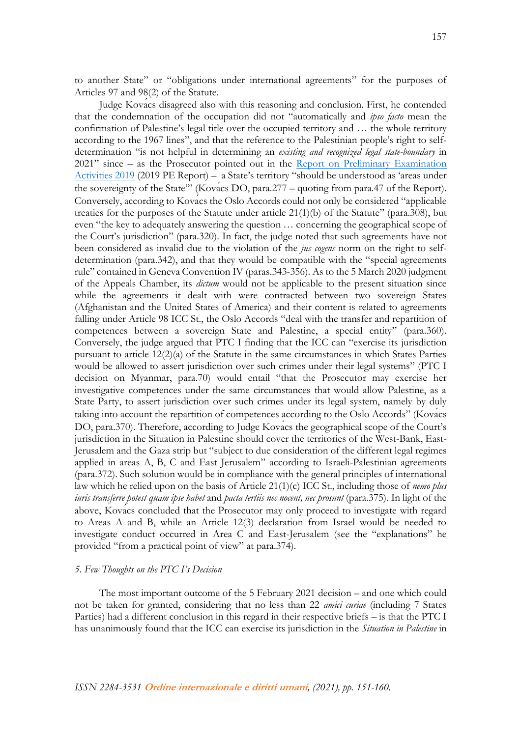to another State" or "obligations under international agreements" for the purposes of Articles 97 and 98(2) of the Statute.

Judge Kovács disagreed also with this reasoning and conclusion. First, he contended that the condemnation of the occupation did not "automatically and *ipso facto* mean the confirmation of Palestine's legal title over the occupied territory and … the whole territory according to the 1967 lines", and that the reference to the Palestinian people's right to selfdetermination "is not helpful in determining an *existing and recognized legal state-boundary* in 2021" since – as the Prosecutor pointed out in the [Report on Preliminary Examination](https://www.icc-cpi.int/itemsDocuments/191205-rep-otp-PE.pdf)  [Activities 2019](https://www.icc-cpi.int/itemsDocuments/191205-rep-otp-PE.pdf) (2019 PE Report) – a State's territory "should be understood as 'areas under the sovereignty of the State"" (Kovacs DO, para.277 – quoting from para.47 of the Report). Conversely, according to Kovács the Oslo Accords could not only be considered "applicable treaties for the purposes of the Statute under article  $21(1)(b)$  of the Statute" (para.308), but even "the key to adequately answering the question … concerning the geographical scope of the Court's jurisdiction" (para.320). In fact, the judge noted that such agreements have not been considered as invalid due to the violation of the *jus cogens* norm on the right to selfdetermination (para.342), and that they would be compatible with the "special agreements rule" contained in Geneva Convention IV (paras.343-356). As to the 5 March 2020 judgment of the Appeals Chamber, its *dictum* would not be applicable to the present situation since while the agreements it dealt with were contracted between two sovereign States (Afghanistan and the United States of America) and their content is related to agreements falling under Article 98 ICC St., the Oslo Accords "deal with the transfer and repartition of competences between a sovereign State and Palestine, a special entity" (para.360). Conversely, the judge argued that PTC I finding that the ICC can "exercise its jurisdiction pursuant to article  $12(2)(a)$  of the Statute in the same circumstances in which States Parties would be allowed to assert jurisdiction over such crimes under their legal systems" (PTC I decision on Myanmar, para.70) would entail "that the Prosecutor may exercise her investigative competences under the same circumstances that would allow Palestine, as a State Party, to assert jurisdiction over such crimes under its legal system, namely by duly taking into account the repartition of competences according to the Oslo Accords" (Kovács DO, para.370). Therefore, according to Judge Kovacs the geographical scope of the Court's jurisdiction in the Situation in Palestine should cover the territories of the West-Bank, East-Jerusalem and the Gaza strip but "subject to due consideration of the different legal regimes applied in areas A, B, C and East Jerusalem" according to Israeli-Palestinian agreements (para.372). Such solution would be in compliance with the general principles of international law which he relied upon on the basis of Article 21(1)(c) ICC St., including those of *nemo plus iuris transferre potest quam ipse habet* and *pacta tertiis nec nocent, nec prosunt* (para.375). In light of the above, Kovács concluded that the Prosecutor may only proceed to investigate with regard to Areas A and B, while an Article 12(3) declaration from Israel would be needed to investigate conduct occurred in Area C and East-Jerusalem (see the "explanations" he provided "from a practical point of view" at para.374).

# *5. Few Thoughts on the PTC I's Decision*

The most important outcome of the 5 February 2021 decision – and one which could not be taken for granted, considering that no less than 22 *amici curiae* (including 7 States Parties) had a different conclusion in this regard in their respective briefs – is that the PTC I has unanimously found that the ICC can exercise its jurisdiction in the *Situation in Palestine* in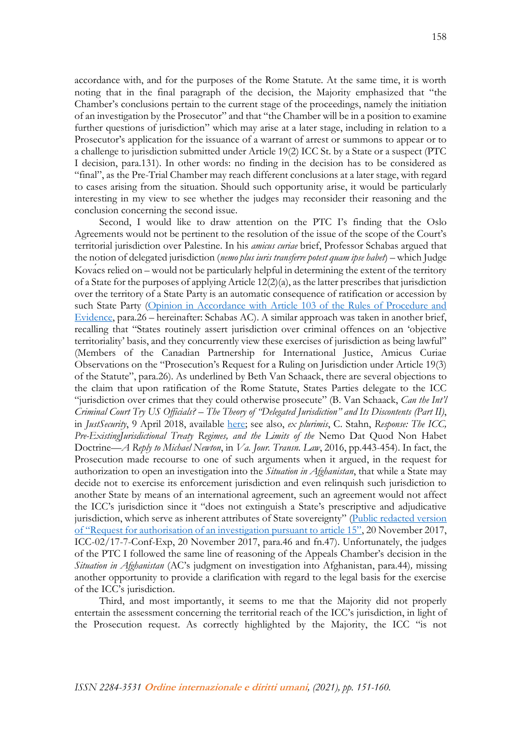accordance with, and for the purposes of the Rome Statute. At the same time, it is worth noting that in the final paragraph of the decision, the Majority emphasized that "the Chamber's conclusions pertain to the current stage of the proceedings, namely the initiation of an investigation by the Prosecutor" and that "the Chamber will be in a position to examine further questions of jurisdiction" which may arise at a later stage, including in relation to a Prosecutor's application for the issuance of a warrant of arrest or summons to appear or to a challenge to jurisdiction submitted under Article 19(2) ICC St. by a State or a suspect (PTC I decision, para.131). In other words: no finding in the decision has to be considered as "final", as the Pre-Trial Chamber may reach different conclusions at a later stage, with regard to cases arising from the situation. Should such opportunity arise, it would be particularly interesting in my view to see whether the judges may reconsider their reasoning and the conclusion concerning the second issue.

Second, I would like to draw attention on the PTC I's finding that the Oslo Agreements would not be pertinent to the resolution of the issue of the scope of the Court's territorial jurisdiction over Palestine. In his *amicus curiae* brief, Professor Schabas argued that the notion of delegated jurisdiction (*nemo plus iuris transferre potest quam ipse habet*) – which Judge Kovacs relied on – would not be particularly helpful in determining the extent of the territory of a State for the purposes of applying Article 12(2)(a), as the latter prescribes that jurisdiction over the territory of a State Party is an automatic consequence of ratification or accession by such State Party [\(Opinion in Accordance with Article 103 of the Rules of Procedure and](https://legal-tools.org/doc/u9y4lh/pdf/)  [Evidence,](https://legal-tools.org/doc/u9y4lh/pdf/) para.26 – hereinafter: Schabas AC). A similar approach was taken in another brief, recalling that "States routinely assert jurisdiction over criminal offences on an 'objective territoriality' basis, and they concurrently view these exercises of jurisdiction as being lawful" (Members of the Canadian Partnership for International Justice, Amicus Curiae Observations on the "Prosecution's Request for a Ruling on Jurisdiction under Article 19(3) of the Statute", para.26). As underlined by Beth Van Schaack, there are several objections to the claim that upon ratification of the Rome Statute, States Parties delegate to the ICC "jurisdiction over crimes that they could otherwise prosecute" (B. Van Schaack, *Can the Int'l Criminal Court Try US Officials? – The Theory of "Delegated Jurisdiction" and Its Discontents (Part II)*, in *JustSecurity*, 9 April 2018, available [here;](https://www.justsecurity.org/54620/intl-criminal-court-officials-the-theory-delegated-jurisdiction-discontents-part-ii/) see also, *ex plurimis*, C. Stahn, *Response: The ICC, Pre-ExistingJurisdictional Treaty Regimes, and the Limits of the* Nemo Dat Quod Non Habet Doctrine*—A Reply to Michael Newton*, in *Va. Jour. Transn. Law*, 2016, pp.443-454). In fact, the Prosecution made recourse to one of such arguments when it argued, in the request for authorization to open an investigation into the *Situation in Afghanistan*, that while a State may decide not to exercise its enforcement jurisdiction and even relinquish such jurisdiction to another State by means of an international agreement, such an agreement would not affect the ICC's jurisdiction since it "does not extinguish a State's prescriptive and adjudicative jurisdiction, which serve as inherent attributes of State sovereignty" [\(Public redacted version](https://www.legal-tools.org/doc/db23eb/pdf/)  [of "Request for authorisation of an investigation pursuant to article 15"](https://www.legal-tools.org/doc/db23eb/pdf/), 20 November 2017, ICC-02/17-7-Conf-Exp, 20 November 2017, para.46 and fn.47). Unfortunately, the judges of the PTC I followed the same line of reasoning of the Appeals Chamber's decision in the *Situation in Afghanistan* (AC's judgment on investigation into Afghanistan, para.44)*,* missing another opportunity to provide a clarification with regard to the legal basis for the exercise of the ICC's jurisdiction.

Third, and most importantly, it seems to me that the Majority did not properly entertain the assessment concerning the territorial reach of the ICC's jurisdiction, in light of the Prosecution request. As correctly highlighted by the Majority, the ICC "is not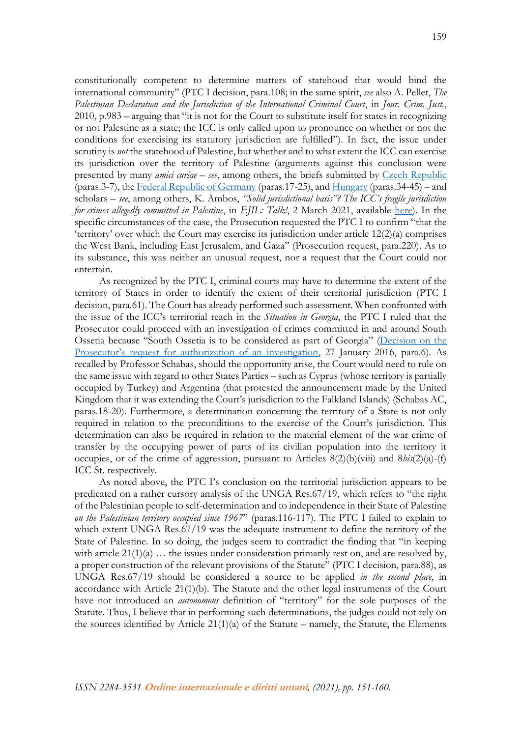constitutionally competent to determine matters of statehood that would bind the international community" (PTC I decision, para.108; in the same spirit, *see* also A. Pellet, *The Palestinian Declaration and the Jurisdiction of the International Criminal Court*, in *Jour. Crim. Just.*, 2010, p.983 – arguing that "it is not for the Court to substitute itself for states in recognizing or not Palestine as a state; the ICC is only called upon to pronounce on whether or not the conditions for exercising its statutory jurisdiction are fulfilled"). In fact, the issue under scrutiny is *not* the statehood of Palestine, but whether and to what extent the ICC can exercise its jurisdiction over the territory of Palestine (arguments against this conclusion were presented by many *amici curiae* – *see*, among others, the briefs submitted by [Czech Republic](https://www.icc-cpi.int/CourtRecords/CR2020_00996.PDF) (paras.3-7), the [Federal Republic of Germany](https://www.icc-cpi.int/CourtRecords/CR2020_01075.PDF) (paras.17-25), and [Hungary](https://www.legal-tools.org/doc/g74etu/pdf/) (paras.34-45) – and scholars – *see*, among others, K. Ambos, *"Solid jurisdictional basis"? The ICC's fragile jurisdiction for crimes allegedly committed in Palestine*, in *EJIL: Talk!*, 2 March 2021, available [here\)](https://www.ejiltalk.org/solid-jurisdictional-basis-the-iccs-fragile-jurisdiction-for-crimes-allegedly-committed-in-palestine/). In the specific circumstances of the case, the Prosecution requested the PTC I to confirm "that the 'territory' over which the Court may exercise its jurisdiction under article 12(2)(a) comprises the West Bank, including East Jerusalem, and Gaza" (Prosecution request, para.220). As to its substance, this was neither an unusual request, nor a request that the Court could not entertain.

As recognized by the PTC I, criminal courts may have to determine the extent of the territory of States in order to identify the extent of their territorial jurisdiction (PTC I decision, para.61). The Court has already performed such assessment. When confronted with the issue of the ICC's territorial reach in the *Situation in Georgia*, the PTC I ruled that the Prosecutor could proceed with an investigation of crimes committed in and around South Ossetia because "South Ossetia is to be considered as part of Georgia" ([Decision on the](https://www.icc-cpi.int/CourtRecords/CR2016_00608.PDF)  [Prosecutor's request for authorization of an investigation](https://www.icc-cpi.int/CourtRecords/CR2016_00608.PDF), 27 January 2016, para.6). As recalled by Professor Schabas, should the opportunity arise, the Court would need to rule on the same issue with regard to other States Parties – such as Cyprus (whose territory is partially occupied by Turkey) and Argentina (that protested the announcement made by the United Kingdom that it was extending the Court's jurisdiction to the Falkland Islands) (Schabas AC, paras.18-20). Furthermore, a determination concerning the territory of a State is not only required in relation to the preconditions to the exercise of the Court's jurisdiction. This determination can also be required in relation to the material element of the war crime of transfer by the occupying power of parts of its civilian population into the territory it occupies, or of the crime of aggression, pursuant to Articles 8(2)(b)(viii) and 8*bis*(2)(a)-(f) ICC St. respectively.

As noted above, the PTC I's conclusion on the territorial jurisdiction appears to be predicated on a rather cursory analysis of the UNGA Res.67/19, which refers to "the right of the Palestinian people to self-determination and to independence in their State of Palestine *on the Palestinian territory occupied since 1967*" (paras.116-117). The PTC I failed to explain to which extent UNGA Res.67/19 was the adequate instrument to define the territory of the State of Palestine. In so doing, the judges seem to contradict the finding that "in keeping with article  $21(1)(a) \ldots$  the issues under consideration primarily rest on, and are resolved by, a proper construction of the relevant provisions of the Statute" (PTC I decision, para.88), as UNGA Res.67/19 should be considered a source to be applied *in the second place*, in accordance with Article 21(1)(b). The Statute and the other legal instruments of the Court have not introduced an *autonomous* definition of "territory" for the sole purposes of the Statute. Thus, I believe that in performing such determinations, the judges could not rely on the sources identified by Article  $21(1)(a)$  of the Statute – namely, the Statute, the Elements